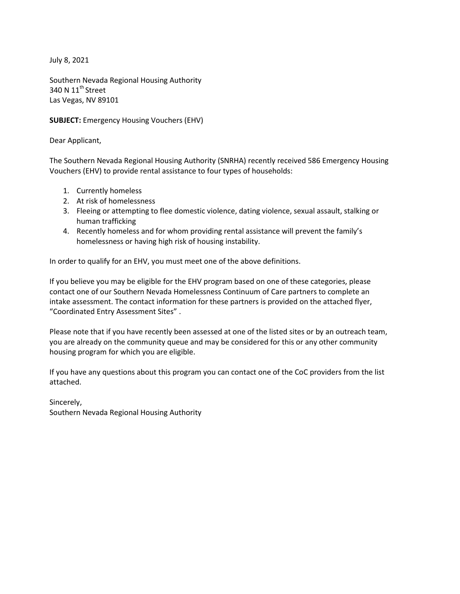July 8, 2021

Southern Nevada Regional Housing Authority 340 N 11<sup>th</sup> Street Las Vegas, NV 89101

**SUBJECT:** Emergency Housing Vouchers (EHV)

Dear Applicant,

The Southern Nevada Regional Housing Authority (SNRHA) recently received 586 Emergency Housing Vouchers (EHV) to provide rental assistance to four types of households:

- 1. Currently homeless
- 2. At risk of homelessness
- 3. Fleeing or attempting to flee domestic violence, dating violence, sexual assault, stalking or human trafficking
- 4. Recently homeless and for whom providing rental assistance will prevent the family's homelessness or having high risk of housing instability.

In order to qualify for an EHV, you must meet one of the above definitions.

If you believe you may be eligible for the EHV program based on one of these categories, please contact one of our Southern Nevada Homelessness Continuum of Care partners to complete an intake assessment. The contact information for these partners is provided on the attached flyer, "Coordinated Entry Assessment Sites" .

Please note that if you have recently been assessed at one of the listed sites or by an outreach team, you are already on the community queue and may be considered for this or any other community housing program for which you are eligible.

If you have any questions about this program you can contact one of the CoC providers from the list attached.

Sincerely, Southern Nevada Regional Housing Authority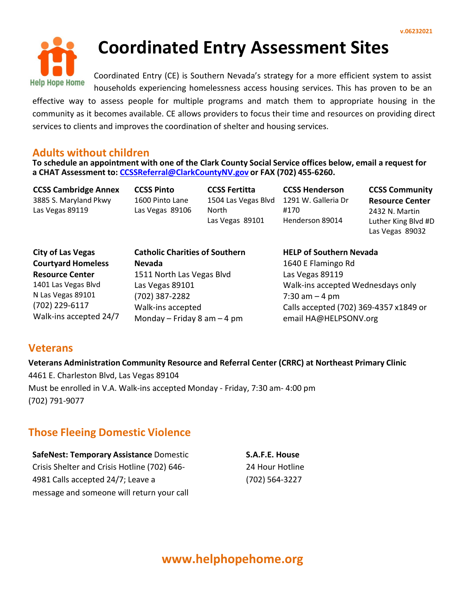

# **Coordinated Entry Assessment Sites**

Coordinated Entry (CE) is Southern Nevada's strategy for a more efficient system to assist households experiencing homelessness access housing services. This has proven to be an

effective way to assess people for multiple programs and match them to appropriate housing in the community as it becomes available. CE allows providers to focus their time and resources on providing direct services to clients and improves the coordination of shelter and housing services.

## **Adults without children**

**To schedule an appointment with one of the Clark County Social Service offices below, email a request for a CHAT Assessment to: [CCSSReferral@ClarkCountyNV.gov](mailto:CCSSReferral@ClarkCountyNV.gov) or FAX (702) 455-6260.**

**CCSS Cambridge Annex** 3885 S. Maryland Pkwy Las Vegas 89119

**CCSS Pinto** 1600 Pinto Lane Las Vegas 89106 **CCSS Fertitta** 1504 Las Vegas Blvd 1291 W. Galleria Dr North Las Vegas 89101

**CCSS Henderson** #170 Henderson 89014

**CCSS Community Resource Center** 2432 N. Martin Luther King Blvd #D Las Vegas 89032

**City of Las Vegas Courtyard Homeless Resource Center** 1401 Las Vegas Blvd N Las Vegas 89101 (702) 229-6117 Walk-ins accepted 24/7

**Catholic Charities of Southern Nevada** 1511 North Las Vegas Blvd Las Vegas 89101 (702) 387-2282 Walk-ins accepted Monday – Friday 8 am – 4 pm

**HELP of Southern Nevada** 1640 E Flamingo Rd Las Vegas 89119 Walk-ins accepted Wednesdays only  $7:30$  am  $-4$  pm Calls accepted (702) 369-4357 x1849 or email [HA@HELPSONV.org](mailto:HA@HELPSONV.org)

# **Veterans**

**Veterans Administration Community Resource and Referral Center (CRRC) at Northeast Primary Clinic**

4461 E. Charleston Blvd, Las Vegas 89104 Must be enrolled in V.A. Walk-ins accepted Monday - Friday, 7:30 am- 4:00 pm (702) 791-9077

# **Those Fleeing Domestic Violence**

**SafeNest: Temporary Assistance** Domestic Crisis Shelter and Crisis Hotline (702) 646- 4981 Calls accepted 24/7; Leave a message and someone will return your call **S.A.F.E. House** 24 Hour Hotline (702) 564-3227